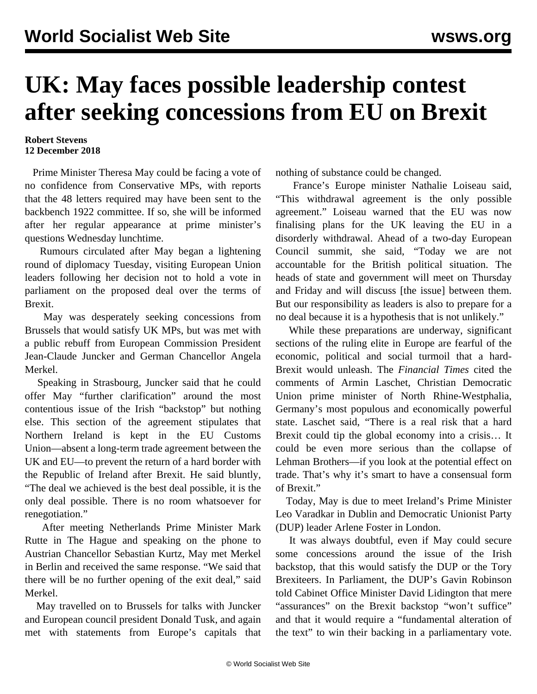## **UK: May faces possible leadership contest after seeking concessions from EU on Brexit**

## **Robert Stevens 12 December 2018**

 Prime Minister Theresa May could be facing a vote of no confidence from Conservative MPs, with reports that the 48 letters required may have been sent to the backbench 1922 committee. If so, she will be informed after her regular appearance at prime minister's questions Wednesday lunchtime.

 Rumours circulated after May began a lightening round of diplomacy Tuesday, visiting European Union leaders following her decision not to hold a vote in parliament on the proposed deal over the terms of Brexit.

 May was desperately seeking concessions from Brussels that would satisfy UK MPs, but was met with a public rebuff from European Commission President Jean-Claude Juncker and German Chancellor Angela Merkel.

 Speaking in Strasbourg, Juncker said that he could offer May "further clarification" around the most contentious issue of the Irish "backstop" but nothing else. This section of the agreement stipulates that Northern Ireland is kept in the EU Customs Union—absent a long-term trade agreement between the UK and EU—to prevent the return of a hard border with the Republic of Ireland after Brexit. He said bluntly, "The deal we achieved is the best deal possible, it is the only deal possible. There is no room whatsoever for renegotiation."

 After meeting Netherlands Prime Minister Mark Rutte in The Hague and speaking on the phone to Austrian Chancellor Sebastian Kurtz, May met Merkel in Berlin and received the same response. "We said that there will be no further opening of the exit deal," said Merkel.

 May travelled on to Brussels for talks with Juncker and European council president Donald Tusk, and again met with statements from Europe's capitals that nothing of substance could be changed.

 France's Europe minister Nathalie Loiseau said, "This withdrawal agreement is the only possible agreement." Loiseau warned that the EU was now finalising plans for the UK leaving the EU in a disorderly withdrawal. Ahead of a two-day European Council summit, she said, "Today we are not accountable for the British political situation. The heads of state and government will meet on Thursday and Friday and will discuss [the issue] between them. But our responsibility as leaders is also to prepare for a no deal because it is a hypothesis that is not unlikely."

 While these preparations are underway, significant sections of the ruling elite in Europe are fearful of the economic, political and social turmoil that a hard-Brexit would unleash. The *Financial Times* cited the comments of Armin Laschet, Christian Democratic Union prime minister of North Rhine-Westphalia, Germany's most populous and economically powerful state. Laschet said, "There is a real risk that a hard Brexit could tip the global economy into a crisis… It could be even more serious than the collapse of Lehman Brothers—if you look at the potential effect on trade. That's why it's smart to have a consensual form of Brexit."

 Today, May is due to meet Ireland's Prime Minister Leo Varadkar in Dublin and Democratic Unionist Party (DUP) leader Arlene Foster in London.

 It was always doubtful, even if May could secure some concessions around the issue of the Irish backstop, that this would satisfy the DUP or the Tory Brexiteers. In Parliament, the DUP's Gavin Robinson told Cabinet Office Minister David Lidington that mere "assurances" on the Brexit backstop "won't suffice" and that it would require a "fundamental alteration of the text" to win their backing in a parliamentary vote.